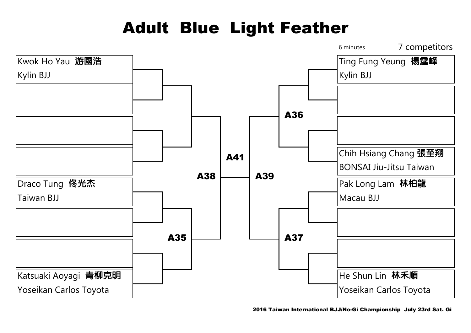# Adult Blue Light Feather

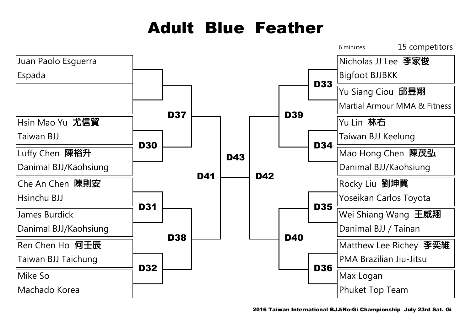### Adult Blue Feather

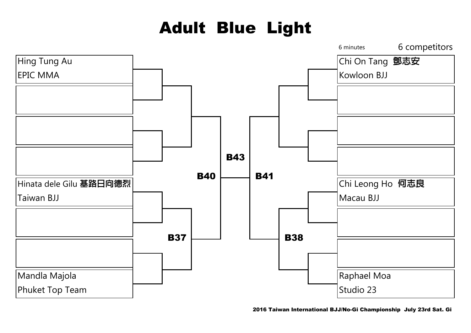# Adult Blue Light

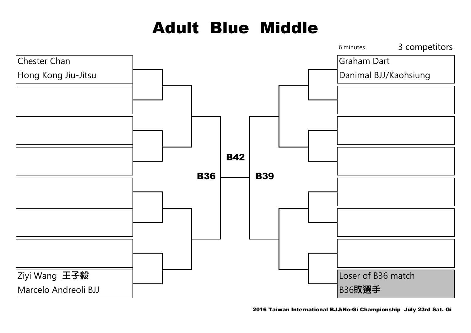### Adult Blue Middle

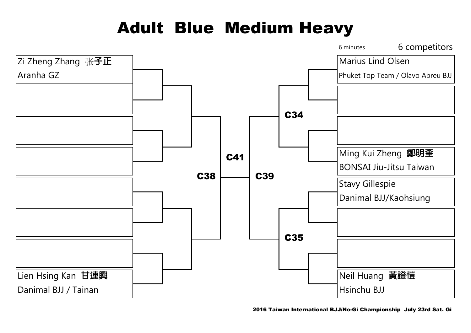### Adult Blue Medium Heavy



2016 Taiwan International BJJ/No-Gi Championship July 23rd Sat. Gi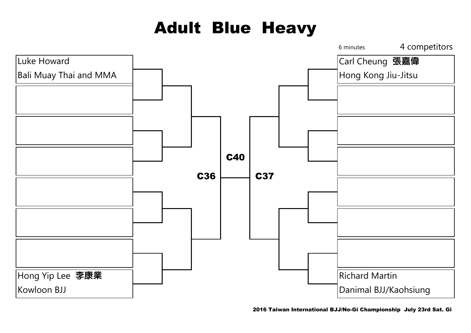# Adult Blue Heavy